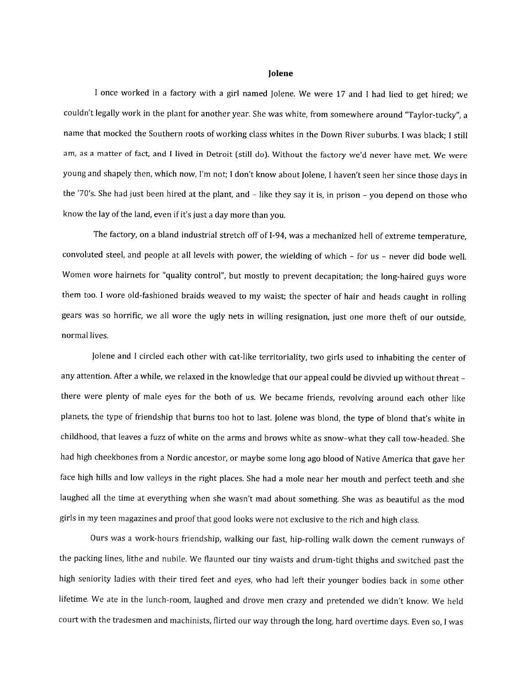## Jolene

<sup>I</sup> once worked in <sup>a</sup> factory with <sup>a</sup> <sup>g</sup>irl named Jolene. We were <sup>17</sup> and <sup>I</sup> had lied to get hired; we couldn't legally work in the <sup>p</sup>lant for another year. She was white, from somewhere around "Taylor-tucky", <sup>a</sup> name that mocked the Southern roots of working class whites in the Down River suburbs. <sup>I</sup> was black; <sup>I</sup> still am, as <sup>a</sup> matter of fact, and <sup>I</sup> lived in Detroit (still do). Without the factory we'd never have met. We were young and shapely then, which now, I'm not; <sup>I</sup> don't know about Jolene, <sup>I</sup> haven't seen her since those days in the '70's. She had just been hired at the <sup>p</sup>lant, and — like they say it is, in prison — you depend on those who know the lay of the land, even if it's just <sup>a</sup> day more than you.

The factory, on <sup>a</sup> bland industrial stretch off of 1-94, was <sup>a</sup> mechanized hell of extreme temperature, convoluted steel, and people at all levels with power, the wielding of which — for us — never did bode well. Women wore hairnets for "quality control", but mostly to prevent decapitation; the long-haired guys wore them too. <sup>I</sup> wore old-fashioned braids weaved to my waist; the specter of hair and heads caught in rolling gears was so horrific, we all wore the ugly nets in willing resignation, just one more theft of our outside, normal lives.

Jolene and <sup>I</sup> circled each other with cat-like territoriality, two <sup>g</sup>irls used to inhabiting the center of any attention. After <sup>a</sup> while, we relaxed in the knowledge that our appeal could be divvied up without threat there were <sup>p</sup>lenty of male eyes for the both of us. We became friends, revolving around each other like <sup>p</sup>lanets, the type of friendship that burns too hot to last. Jolene was blond, the type of blond that's white in childhood, that leaves <sup>a</sup> fuzz of white on the arms and brows white as snow—what they call tow-headed, She had high cheekbones from <sup>a</sup> Nordic ancestor, or maybe some long ago blood of Native America that gave her face high hills and low valleys in the right <sup>p</sup>laces. She had <sup>a</sup> mole near her mouth and perfect teeth and she laughed all the time at everything when she wasn't mad about something. She was as beautiful as the mod <sup>g</sup>irls in my teen magazines and proof that good looks were not exclusive to the rich and high class.

Ours was <sup>a</sup> work-hours friendship, walking our fast, hip-rolling walk down the cement runways of the packing lines, lithe and nubile. We flaunted our tiny waists and drum-tight thighs and switched past the high seniority ladies with their tired feet and eyes, who had left their younger bodies back in some other lifetime. We ate in the lunch-room, laughed and drove men crazy and pretended we didn't know. We held court with the tradesmen and machinists, flirted our way through the long, hard overtime days. Even so, <sup>I</sup> was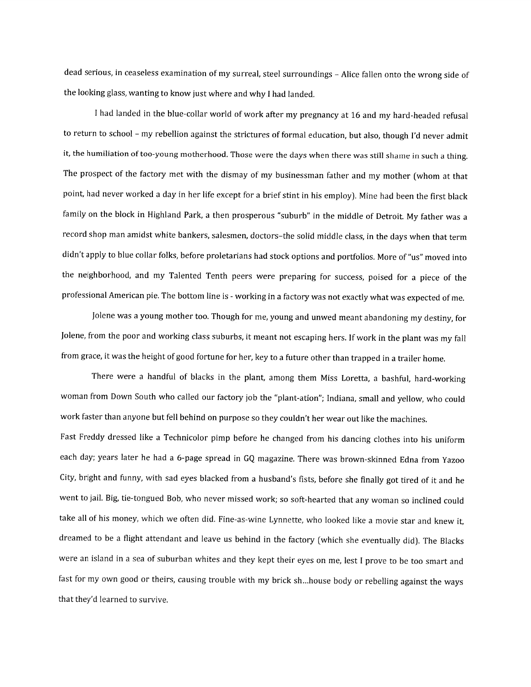dead serious, in ceaseless examination of my surreal, steel surroundings — Alice fallen onto the wrong side of the looking <sup>g</sup>lass, wanting to know just where and why <sup>I</sup> had landed.

<sup>I</sup> had landed in the blue-collar world of work after my pregnancy at <sup>16</sup> and my hard-headed refusal to return to school — my rebellion against the strictures of formal education, but also, though I'd never admit it, the humiliation of too-young motherhood. Those were the days when there was still shame in such <sup>a</sup> thing. The prospect of the factory met with the dismay of my businessman father and my mother (whom at that point, had never worked <sup>a</sup> day in her life except for <sup>a</sup> brief stint in his employ). Mine had been the first black family on the block in Highland Park, <sup>a</sup> then prosperous "suburb" in the middle of Detroit. My father was <sup>a</sup> record shop man amidst white bankers, salesmen, doctors—the solid middle class, in the days when that term didn't apply to blue collar folks, before proletarians had stock options and portfolios. More of "us" moved into the neighborhood, and my Talented Tenth peers were preparing for success, poised for <sup>a</sup> <sup>p</sup>iece of the professional American pie. The bottom line is - working in a factory was not exactly what was expected of me.

Jolene was <sup>a</sup> young mother too. Though for me, young and unwed meant abandoning my destiny, for jolene, from the poor and working class suburbs, it meant not escaping hers. If work in the <sup>p</sup>lant was my fall from grace, it was the height of good fortune for her, key to <sup>a</sup> future other than trapped in <sup>a</sup> trailer home.

There were <sup>a</sup> handful of blacks in the <sup>p</sup>lant, among them Miss Loretta, <sup>a</sup> bashful, hard-working woman from Down South who called our factory job the "plant-ation"; Indiana, small and yellow, who could work faster than anyone but fell behind on purpose so they couldn't her wear out like the machines. Fast Freddy dressed like <sup>a</sup> Technicolor <sup>p</sup>imp before he changed from his dancing clothes into his uniform each day; years later he had <sup>a</sup> 6-page spread in GQ magazine. There was brown-skinned Edna from Yazoo City, bright and funny, with sad eyes blacked from <sup>a</sup> husband's fists, before she finally got tired of it and he went to jail. Big, tie-tongued Bob, who never missed work; so soft-hearted that any woman so inclined could take all of his money, which we often did, Fine-as-wine Lynnette, who looked like <sup>a</sup> movie star and knew it, dreamed to be <sup>a</sup> flight attendant and leave us behind in the factory (which she eventually did). The Blacks were an island in <sup>a</sup> sea of suburban whites and they kept their eyes on me, lest <sup>I</sup> prove to be too smart and fast for my own good or theirs, causing trouble with my brick sh...house body or rebelling against the ways that they'd learned to survive.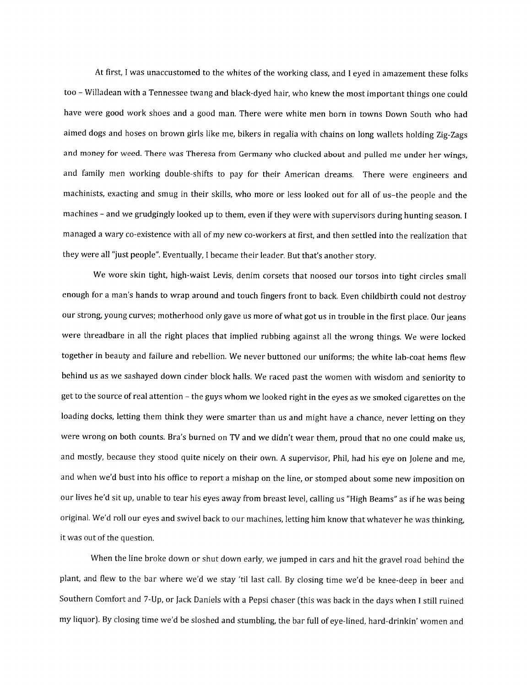At first, <sup>I</sup> was unaccustomed to the whites of the working class, and <sup>I</sup> eyed in amazement these folks too - Willadean with a Tennessee twang and black-dyed hair, who knew the most important things one could have were good work shoes and <sup>a</sup> good man. There were white men born in towns Down South who had aimed dogs and hoses on brown <sup>g</sup>irls like me, bikers in regalia with chains on long wallets holding Zig-Zags and money for weed. There was Theresa from Germany who clucked about and pulled me under her wings, and family men working double-shifts to pay for their American dreams. There were engineers and machinists, exacting and smug in their skills, who more or less looked out for all of us—the people and the machines - and we grudgingly looked up to them, even if they were with supervisors during hunting season. I managed <sup>a</sup> wary co-existence with all of my new co-workers at first, and then settled into the realization that they were all "just people". Eventually, <sup>I</sup> became their leader. But that's another story.

We wore skin tight, high-waist Levis, denim corsets that noosed our torsos into tight circles small enoug<sup>h</sup> for <sup>a</sup> man's hands to wrap around and touch fingers front to back. Even childbirth could not destroy our strong, young curves; motherhood only gave us more of what got us in trouble in the first <sup>p</sup>lace. Our jeans were threadbare in all the right <sup>p</sup>laces that implied rubbing against all the wrong things. We were locked together in beauty and failure and rebellion. We never buttoned our uniforms; the white lab-coat hems flew behind us as we sashayed down cinder block halls. We raced past the women with wisdom and seniority to get to the source of real attention — the guys whom we looked right in the eyes as we smoked cigarettes on the loading docks, letting them think they were smarter than us and might have <sup>a</sup> chance, never letting on they were wrong on both counts. Bra's burned on TV and we didn't wear them, proud that no one could make us, and mostly, because they stood quite nicely on their own. <sup>A</sup> supervisor, Phil, had his eye on Jolene and me, and when we'd bust into his office to report <sup>a</sup> mishap on the line, or stomped about some new imposition on our lives he'd sit up, unable to tear his eyes away from breast level, calling us "High Beams" as if he was being original. We'd roll our eyes and swivel back to our machines, letting him know that whatever he was thinking, it was out of the question.

When the line broke down or shut down early, we jumped in cars and hit the gravel road behind the <sup>p</sup>lant, and flew to the bar where we'd we stay 'til last call. By closing time we'd be knee-deep in beer and Southern Comfort and 7-Up, or Jack Daniels with a Pepsi chaser (this was back in the days when I still ruined my liquor). By closing time we'd be sloshed and stumbling, the bar full of eye-lined, hard-drinkin' women and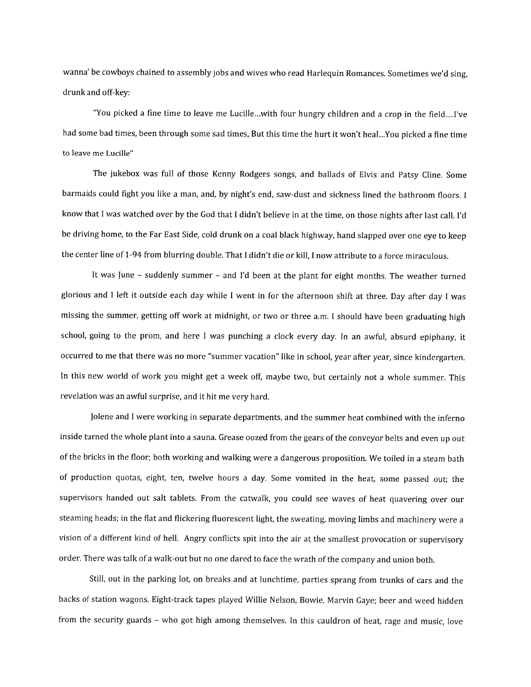wanna' be cowboys chained to assembly jobs and wives who read Harlequin Romances. Sometimes we'd sing, drunk and off-key:

"You picked a fine time to leave me Lucille...with four hungry children and a crop in the field....I've had some bad times, been through some sad times, But this time the hurt it won't heal...You <sup>p</sup>icked <sup>a</sup> fine time to leave me Lucille"

The jukebox was full of those Kenny Rodgers songs, and ballads of Elvis and Patsy Cline. Some barmaids could fight you like <sup>a</sup> man, and, by night's end, saw-dust and sickness lined the bathroom floors. <sup>I</sup> know that <sup>I</sup> was watched over by the God that <sup>I</sup> didn't believe in at the time, on those nights after last call. I'd be driving home, to the Far East Side, cold drunk on <sup>a</sup> coal black highway, hand slapped over one eye to keep the center line of 1-94 from blurring double. That I didn't die or kill, I now attribute to <sup>a</sup> force miraculous.

It was June - suddenly summer - and I'd been at the plant for eight months. The weather turned <sup>g</sup>lorious and <sup>I</sup> left it outside each day while <sup>I</sup> went in for the afternoon shift at three. Day after day <sup>I</sup> was missing the summer, getting off work at midnight, or two or three a.m. <sup>I</sup> should have been graduating high school, going to the prom, and here <sup>I</sup> was punching <sup>a</sup> clock every day. In an awful, absurd epiphany, it occurred to me that there was no more "summer vacation" like in school, year after year, since kindergarten. In this new world of work you might ge<sup>t</sup> <sup>a</sup> week off, maybe two, but certainly not <sup>a</sup> whole summer. This revelation was an awful surprise, and it hit me very hard.

Jolene and <sup>I</sup> were working in separate departments, and the summer heat combined with the inferno inside turned the whole <sup>p</sup>lant into <sup>a</sup> sauna, Grease oozed from the gears of the conveyor belts and even up out of the bricks in the floor; both working and walking were <sup>a</sup> dangerous proposition. We toiled in <sup>a</sup> steam bath of production quotas, eight, ten, twelve hours <sup>a</sup> day. Some vomited in the heat, some passe<sup>d</sup> out; the supervisors handed out salt tablets. From the catwalk, you could see waves of heat quavering over our steaming heads; in the flat and flickering fluorescent light, the sweating, moving limbs and machinery were <sup>a</sup> vision of <sup>a</sup> different kind of hell. Angry conflicts spit into the air at the smallest provocation or supervisory order. There was talk of <sup>a</sup> walk-out but no one dared to face the wrath of the company and union both.

Still, out in the parking lot, on breaks and at lunchtime, parties sprang from trunks of cars and the backs of station wagons. Eight-track tapes <sup>p</sup>layed Willie Nelson, Bowie, Marvin Gaye; beer and weed hidden from the security guards — who go<sup>t</sup> high among themselves. In this cauldron of heat, rage and music, love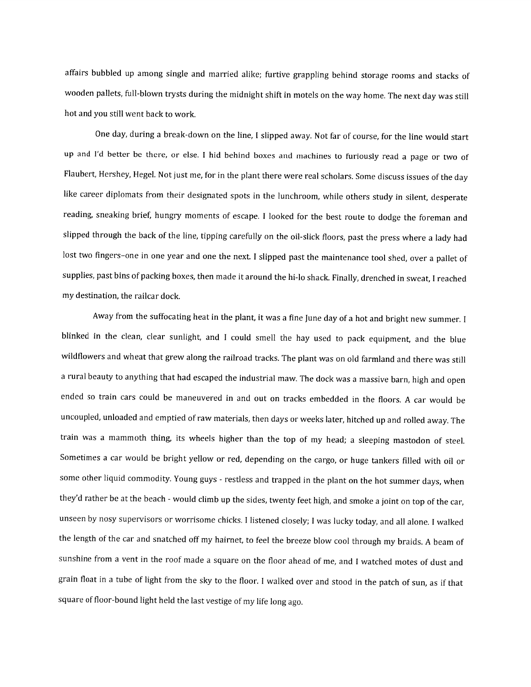affairs bubbled up among single and married alike; furtive grappling behind storage rooms and stacks of wooden pallets, full-blown trysts during the midnight shift in motels on the way home. The next day was still hot and you still went back to work.

One day, during <sup>a</sup> break-down on the line, <sup>I</sup> slipped away. Not far of course, for the line would start up and I'd better be there, or else. <sup>I</sup> hid behind boxes and machines to furiously read <sup>a</sup> page or two of Flaubert, Hershey, Hegel. Not just me, for in the <sup>p</sup>lant there were real scholars. Some discuss issues of the day like career diplomats from their designated spots in the lunchroom, while others study in silent, desperate reading, sneaking brief, hungry moments of escape. <sup>I</sup> looked for the best route to dodge the foreman and slipped through the back of the line, tipping carefully on the oil-slick floors, past the press where <sup>a</sup> lady had lost two fingers—one in one year and one the next. <sup>I</sup> slipped past the maintenance tool shed, over <sup>a</sup> pallet of supplies, past bins of packing boxes, then made it around the hi-b shack. Finally, drenched in sweat, <sup>I</sup> reached my destination, the railcar dock.

Away from the suffocating heat in the <sup>p</sup>lant, it was <sup>a</sup> fine June day of <sup>a</sup> hot and bright new summer. <sup>I</sup> blinked in the clean, clear sunlight, and <sup>I</sup> could smell the hay used to pack equipment, and the blue wildflowers and wheat that grew along the railroad tracks. The <sup>p</sup>lant was on old farmland and there was still <sup>a</sup> rural beauty to anything that had escaped the industrial maw. The dock was <sup>a</sup> massive barn, high and open ended so train cars could be maneuvered in and out on tracks embedded in the floors. <sup>A</sup> car would be uncoupled, unloaded and emptied of raw materials, then days or weeks later, hitched up and rolled away. The train was <sup>a</sup> mammoth thing, its wheels higher than the top of my head; <sup>a</sup> sleeping mastodon of steel. Sometimes <sup>a</sup> car would be bright yellow or red, depending on the cargo, or huge tankers filled with oil or some other liquid commodity. Young guys - restless and trapped in the <sup>p</sup>lant on the hot summer days, when they'd rather be at the beach -would climb up the sides, twenty feet high, and smoke <sup>a</sup> joint on top of the car, unseen by nosy supervisors or worrisome chicks. <sup>I</sup> listened closely; <sup>I</sup> was lucky today, and all alone. <sup>I</sup> walked the length of the car and snatched off my hairnet, to feel the breeze blow cool through my braids. <sup>A</sup> beam of sunshine from <sup>a</sup> vent in the roof made <sup>a</sup> square on the floor ahead of me, and <sup>I</sup> watched motes of dust and grain float in <sup>a</sup> tube of light from the sky to the floor. <sup>I</sup> walked over and stood in the patch of sun, as if that square of floor-bound light held the last vestige of my life long ago.